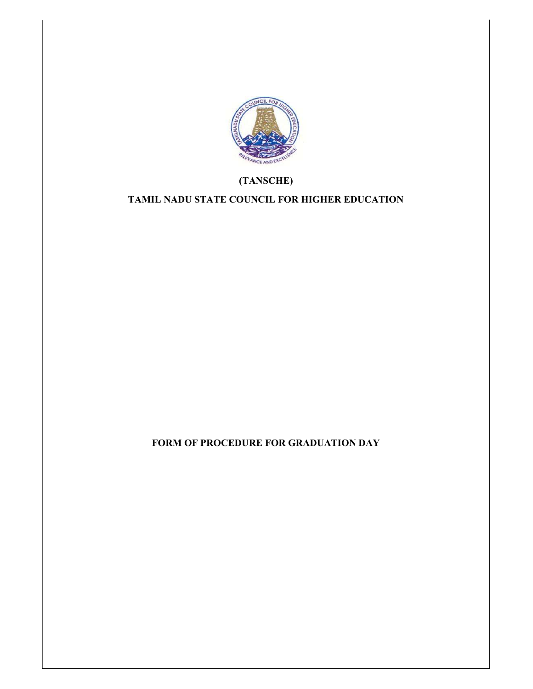

# (TANSCHE)

# TAMIL NADU STATE COUNCIL FOR HIGHER EDUCATION

FORM OF PROCEDURE FOR GRADUATION DAY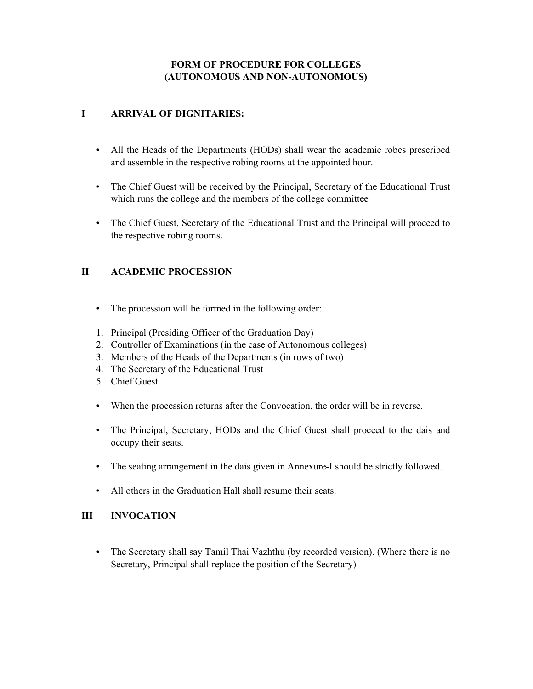# FORM OF PROCEDURE FOR COLLEGES (AUTONOMOUS AND NON-AUTONOMOUS)

### I ARRIVAL OF DIGNITARIES:

- All the Heads of the Departments (HODs) shall wear the academic robes prescribed and assemble in the respective robing rooms at the appointed hour.
- The Chief Guest will be received by the Principal, Secretary of the Educational Trust which runs the college and the members of the college committee
- The Chief Guest, Secretary of the Educational Trust and the Principal will proceed to the respective robing rooms.

# II ACADEMIC PROCESSION

- The procession will be formed in the following order:
- 1. Principal (Presiding Officer of the Graduation Day)
- 2. Controller of Examinations (in the case of Autonomous colleges)
- 3. Members of the Heads of the Departments (in rows of two)
- 4. The Secretary of the Educational Trust
- 5. Chief Guest
- When the procession returns after the Convocation, the order will be in reverse.
- The Principal, Secretary, HODs and the Chief Guest shall proceed to the dais and occupy their seats.
- The seating arrangement in the dais given in Annexure-I should be strictly followed.
- All others in the Graduation Hall shall resume their seats.

### III INVOCATION

• The Secretary shall say Tamil Thai Vazhthu (by recorded version). (Where there is no Secretary, Principal shall replace the position of the Secretary)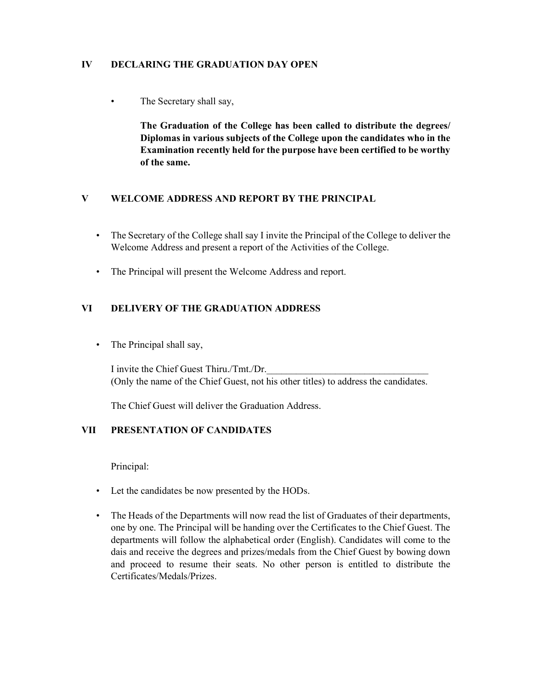### IV DECLARING THE GRADUATION DAY OPEN

• The Secretary shall say,

The Graduation of the College has been called to distribute the degrees/ Diplomas in various subjects of the College upon the candidates who in the Examination recently held for the purpose have been certified to be worthy of the same.

### V WELCOME ADDRESS AND REPORT BY THE PRINCIPAL

- The Secretary of the College shall say I invite the Principal of the College to deliver the Welcome Address and present a report of the Activities of the College.
- The Principal will present the Welcome Address and report.

# VI DELIVERY OF THE GRADUATION ADDRESS

• The Principal shall say,

I invite the Chief Guest Thiru./Tmt./Dr. (Only the name of the Chief Guest, not his other titles) to address the candidates.

The Chief Guest will deliver the Graduation Address.

### VII PRESENTATION OF CANDIDATES

Principal:

- Let the candidates be now presented by the HODs.
- The Heads of the Departments will now read the list of Graduates of their departments, one by one. The Principal will be handing over the Certificates to the Chief Guest. The departments will follow the alphabetical order (English). Candidates will come to the dais and receive the degrees and prizes/medals from the Chief Guest by bowing down and proceed to resume their seats. No other person is entitled to distribute the Certificates/Medals/Prizes.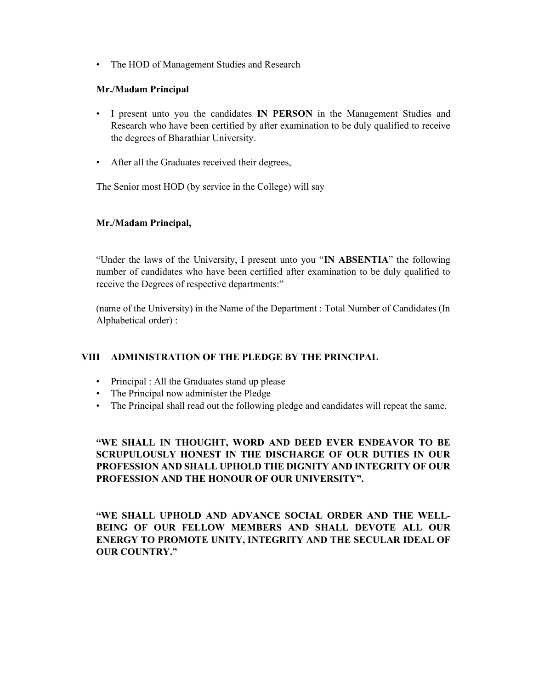• The HOD of Management Studies and Research

#### Mr./Madam Principal

- I present unto you the candidates IN PERSON in the Management Studies and Research who have been certified by after examination to be duly qualified to receive the degrees of Bharathiar University.
- After all the Graduates received their degrees,

The Senior most HOD (by service in the College) will say

#### Mr./Madam Principal,

"Under the laws of the University, I present unto you "IN ABSENTIA" the following number of candidates who have been certified after examination to be duly qualified to receive the Degrees of respective departments:"

(name of the University) in the Name of the Department : Total Number of Candidates (In Alphabetical order) :

### VIII ADMINISTRATION OF THE PLEDGE BY THE PRINCIPAL

- Principal : All the Graduates stand up please
- The Principal now administer the Pledge
- The Principal shall read out the following pledge and candidates will repeat the same.

# "WE SHALL IN THOUGHT, WORD AND DEED EVER ENDEAVOR TO BE SCRUPULOUSLY HONEST IN THE DISCHARGE OF OUR DUTIES IN OUR PROFESSION AND SHALL UPHOLD THE DIGNITY AND INTEGRITY OF OUR PROFESSION AND THE HONOUR OF OUR UNIVERSITY".

"WE SHALL UPHOLD AND ADVANCE SOCIAL ORDER AND THE WELL-BEING OF OUR FELLOW MEMBERS AND SHALL DEVOTE ALL OUR ENERGY TO PROMOTE UNITY, INTEGRITY AND THE SECULAR IDEAL OF OUR COUNTRY."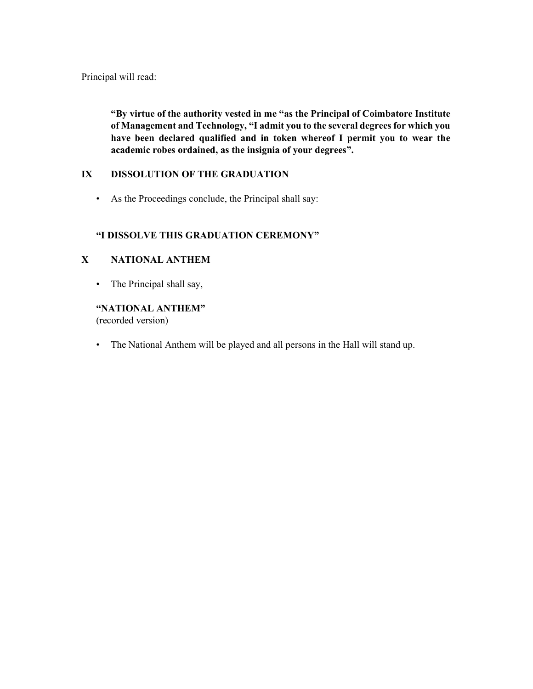Principal will read:

"By virtue of the authority vested in me "as the Principal of Coimbatore Institute of Management and Technology, "I admit you to the several degrees for which you have been declared qualified and in token whereof I permit you to wear the academic robes ordained, as the insignia of your degrees".

### IX DISSOLUTION OF THE GRADUATION

• As the Proceedings conclude, the Principal shall say:

### "I DISSOLVE THIS GRADUATION CEREMONY"

### X NATIONAL ANTHEM

• The Principal shall say,

### "NATIONAL ANTHEM"

(recorded version)

• The National Anthem will be played and all persons in the Hall will stand up.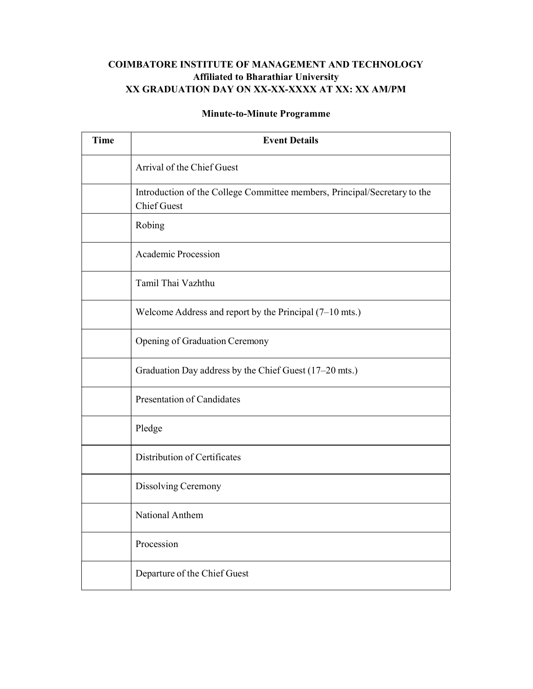# COIMBATORE INSTITUTE OF MANAGEMENT AND TECHNOLOGY Affiliated to Bharathiar University XX GRADUATION DAY ON XX-XX-XXXX AT XX: XX AM/PM

# Minute-to-Minute Programme

| <b>Time</b> | <b>Event Details</b>                                                                            |
|-------------|-------------------------------------------------------------------------------------------------|
|             | Arrival of the Chief Guest                                                                      |
|             | Introduction of the College Committee members, Principal/Secretary to the<br><b>Chief Guest</b> |
|             | Robing                                                                                          |
|             | <b>Academic Procession</b>                                                                      |
|             | Tamil Thai Vazhthu                                                                              |
|             | Welcome Address and report by the Principal $(7-10 \text{ mfs.})$                               |
|             | Opening of Graduation Ceremony                                                                  |
|             | Graduation Day address by the Chief Guest (17-20 mts.)                                          |
|             | <b>Presentation of Candidates</b>                                                               |
|             | Pledge                                                                                          |
|             | Distribution of Certificates                                                                    |
|             | Dissolving Ceremony                                                                             |
|             | National Anthem                                                                                 |
|             | Procession                                                                                      |
|             | Departure of the Chief Guest                                                                    |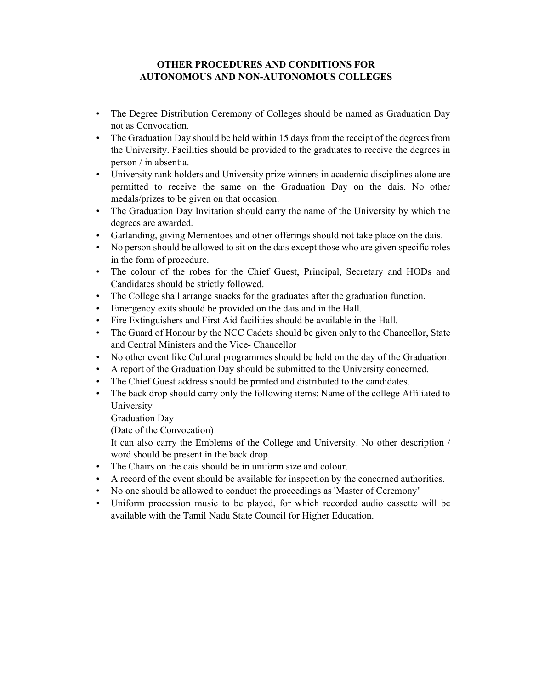### OTHER PROCEDURES AND CONDITIONS FOR AUTONOMOUS AND NON-AUTONOMOUS COLLEGES

- The Degree Distribution Ceremony of Colleges should be named as Graduation Day not as Convocation.
- The Graduation Day should be held within 15 days from the receipt of the degrees from the University. Facilities should be provided to the graduates to receive the degrees in person / in absentia.
- University rank holders and University prize winners in academic disciplines alone are permitted to receive the same on the Graduation Day on the dais. No other medals/prizes to be given on that occasion.
- The Graduation Day Invitation should carry the name of the University by which the degrees are awarded.
- Garlanding, giving Mementoes and other offerings should not take place on the dais.
- No person should be allowed to sit on the dais except those who are given specific roles in the form of procedure.
- The colour of the robes for the Chief Guest, Principal, Secretary and HODs and Candidates should be strictly followed.
- The College shall arrange snacks for the graduates after the graduation function.
- Emergency exits should be provided on the dais and in the Hall.
- Fire Extinguishers and First Aid facilities should be available in the Hall.
- The Guard of Honour by the NCC Cadets should be given only to the Chancellor, State and Central Ministers and the Vice- Chancellor
- No other event like Cultural programmes should be held on the day of the Graduation.
- A report of the Graduation Day should be submitted to the University concerned.
- The Chief Guest address should be printed and distributed to the candidates.
- The back drop should carry only the following items: Name of the college Affiliated to University

Graduation Day

(Date of the Convocation)

It can also carry the Emblems of the College and University. No other description / word should be present in the back drop.

- The Chairs on the dais should be in uniform size and colour.
- A record of the event should be available for inspection by the concerned authorities.
- No one should be allowed to conduct the proceedings as 'Master of Ceremony"
- Uniform procession music to be played, for which recorded audio cassette will be available with the Tamil Nadu State Council for Higher Education.